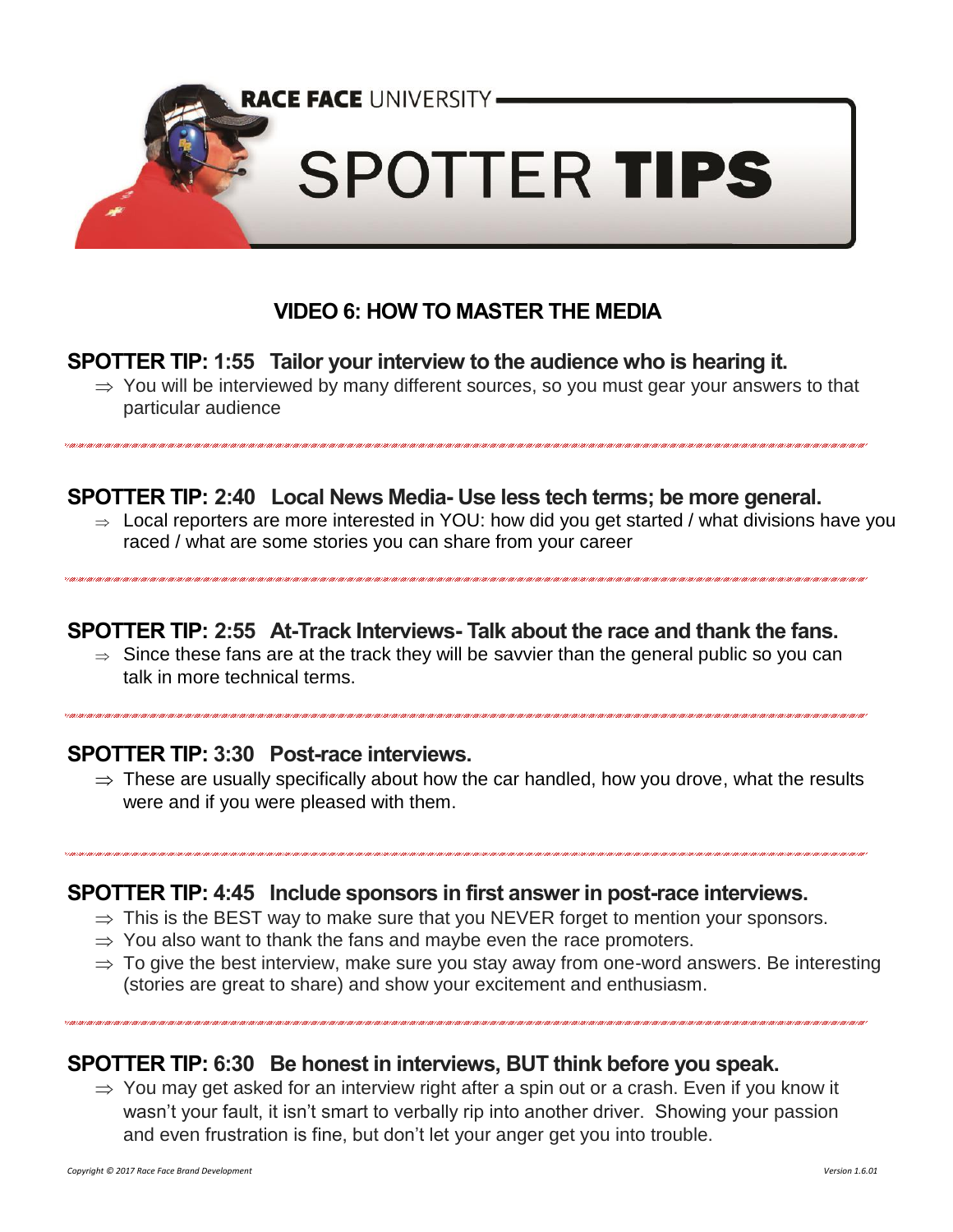

# **VIDEO 6: HOW TO MASTER THE MEDIA**

#### **SPOTTER TIP: 1:55 Tailor your interview to the audience who is hearing it.**

 $\Rightarrow$  You will be interviewed by many different sources, so you must gear your answers to that particular audience

### **SPOTTER TIP: 2:40 Local News Media- Use less tech terms; be more general.**

 $\Rightarrow$  Local reporters are more interested in YOU: how did you get started / what divisions have you raced / what are some stories you can share from your career

#### **SPOTTER TIP: 2:55 At-Track Interviews- Talk about the race and thank the fans.**

 $\Rightarrow$  Since these fans are at the track they will be savvier than the general public so you can talk in more technical terms.

#### **SPOTTER TIP: 3:30 Post-race interviews.**

 $\Rightarrow$  These are usually specifically about how the car handled, how you drove, what the results were and if you were pleased with them.

#### **SPOTTER TIP: 4:45 Include sponsors in first answer in post-race interviews.**

- $\Rightarrow$  This is the BEST way to make sure that you NEVER forget to mention your sponsors.
- $\Rightarrow$  You also want to thank the fans and maybe even the race promoters.
- $\Rightarrow$  To give the best interview, make sure you stay away from one-word answers. Be interesting (stories are great to share) and show your excitement and enthusiasm.

### **SPOTTER TIP: 6:30 Be honest in interviews, BUT think before you speak.**

 $\Rightarrow$  You may get asked for an interview right after a spin out or a crash. Even if you know it wasn't your fault, it isn't smart to verbally rip into another driver. Showing your passion and even frustration is fine, but don't let your anger get you into trouble.